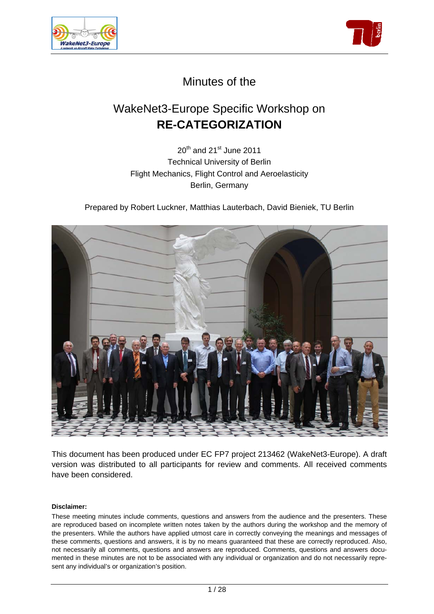



# Minutes of the

# WakeNet3-Europe Specific Workshop on **RE-CATEGORIZATION**

 $20^{th}$  and  $21^{st}$  June 2011 Technical University of Berlin Flight Mechanics, Flight Control and Aeroelasticity Berlin, Germany

Prepared by Robert Luckner, Matthias Lauterbach, David Bieniek, TU Berlin



This document has been produced under EC FP7 project 213462 (WakeNet3-Europe). A draft version was distributed to all participants for review and comments. All received comments have been considered.

#### **Disclaimer:**

These meeting minutes include comments, questions and answers from the audience and the presenters. These are reproduced based on incomplete written notes taken by the authors during the workshop and the memory of the presenters. While the authors have applied utmost care in correctly conveying the meanings and messages of these comments, questions and answers, it is by no means guaranteed that these are correctly reproduced. Also, not necessarily all comments, questions and answers are reproduced. Comments, questions and answers documented in these minutes are not to be associated with any individual or organization and do not necessarily represent any individual's or organization's position.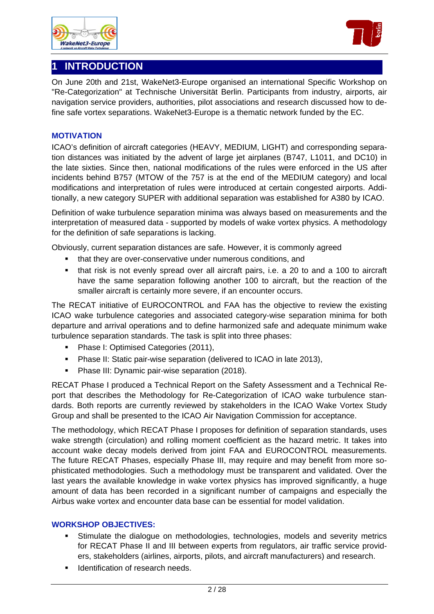





On June 20th and 21st, WakeNet3-Europe organised an international Specific Workshop on "Re-Categorization" at Technische Universität Berlin. Participants from industry, airports, air navigation service providers, authorities, pilot associations and research discussed how to define safe vortex separations. WakeNet3-Europe is a thematic network funded by the EC.

#### **MOTIVATION**

ICAO's definition of aircraft categories (HEAVY, MEDIUM, LIGHT) and corresponding separation distances was initiated by the advent of large jet airplanes (B747, L1011, and DC10) in the late sixties. Since then, national modifications of the rules were enforced in the US after incidents behind B757 (MTOW of the 757 is at the end of the MEDIUM category) and local modifications and interpretation of rules were introduced at certain congested airports. Additionally, a new category SUPER with additional separation was established for A380 by ICAO.

Definition of wake turbulence separation minima was always based on measurements and the interpretation of measured data - supported by models of wake vortex physics. A methodology for the definition of safe separations is lacking.

Obviously, current separation distances are safe. However, it is commonly agreed

- **that they are over-conservative under numerous conditions, and**
- that risk is not evenly spread over all aircraft pairs, i.e. a 20 to and a 100 to aircraft have the same separation following another 100 to aircraft, but the reaction of the smaller aircraft is certainly more severe, if an encounter occurs.

The RECAT initiative of EUROCONTROL and FAA has the objective to review the existing ICAO wake turbulence categories and associated category-wise separation minima for both departure and arrival operations and to define harmonized safe and adequate minimum wake turbulence separation standards. The task is split into three phases:

- Phase I: Optimised Categories (2011),
- **Phase II: Static pair-wise separation (delivered to ICAO in late 2013),**
- **Phase III: Dynamic pair-wise separation (2018).**

RECAT Phase I produced a Technical Report on the Safety Assessment and a Technical Report that describes the Methodology for Re-Categorization of ICAO wake turbulence standards. Both reports are currently reviewed by stakeholders in the ICAO Wake Vortex Study Group and shall be presented to the ICAO Air Navigation Commission for acceptance.

The methodology, which RECAT Phase I proposes for definition of separation standards, uses wake strength (circulation) and rolling moment coefficient as the hazard metric. It takes into account wake decay models derived from joint FAA and EUROCONTROL measurements. The future RECAT Phases, especially Phase III, may require and may benefit from more sophisticated methodologies. Such a methodology must be transparent and validated. Over the last years the available knowledge in wake vortex physics has improved significantly, a huge amount of data has been recorded in a significant number of campaigns and especially the Airbus wake vortex and encounter data base can be essential for model validation.

#### **WORKSHOP OBJECTIVES:**

- Stimulate the dialogue on methodologies, technologies, models and severity metrics for RECAT Phase II and III between experts from regulators, air traffic service providers, stakeholders (airlines, airports, pilots, and aircraft manufacturers) and research.
- **IDENTIFICATE IN A LOCATE 15 IDENTIFICATE I**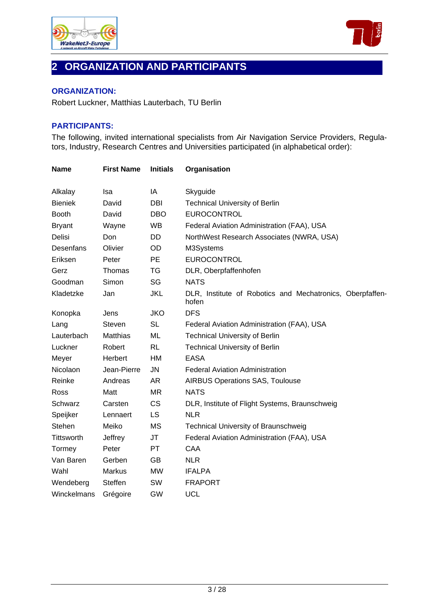



# **2 ORGANIZATION AND PARTICIPANTS**

#### **ORGANIZATION:**

Robert Luckner, Matthias Lauterbach, TU Berlin

# **PARTICIPANTS:**

The following, invited international specialists from Air Navigation Service Providers, Regulators, Industry, Research Centres and Universities participated (in alphabetical order):

| <b>Name</b>       | <b>First Name</b> | <b>Initials</b> | Organisation                                                       |
|-------------------|-------------------|-----------------|--------------------------------------------------------------------|
| Alkalay           | <b>Isa</b>        | IA              | Skyguide                                                           |
| <b>Bieniek</b>    | David             | <b>DBI</b>      | <b>Technical University of Berlin</b>                              |
| <b>Booth</b>      | David             | <b>DBO</b>      | EUROCONTROL                                                        |
| <b>Bryant</b>     | Wayne             | <b>WB</b>       | Federal Aviation Administration (FAA), USA                         |
| Delisi            | Don               | DD              | NorthWest Research Associates (NWRA, USA)                          |
| Desenfans         | Olivier           | OD              | M3Systems                                                          |
| Eriksen           | Peter             | <b>PE</b>       | EUROCONTROL                                                        |
| Gerz              | Thomas            | TG              | DLR, Oberpfaffenhofen                                              |
| Goodman           | Simon             | SG              | <b>NATS</b>                                                        |
| Kladetzke         | Jan               | <b>JKL</b>      | DLR, Institute of Robotics and Mechatronics, Oberpfaffen-<br>hofen |
| Konopka           | Jens              | <b>JKO</b>      | <b>DFS</b>                                                         |
| Lang              | Steven            | <b>SL</b>       | Federal Aviation Administration (FAA), USA                         |
| Lauterbach        | Matthias          | ML              | <b>Technical University of Berlin</b>                              |
| Luckner           | Robert            | <b>RL</b>       | <b>Technical University of Berlin</b>                              |
| Meyer             | Herbert           | HM              | <b>EASA</b>                                                        |
| Nicolaon          | Jean-Pierre       | <b>JN</b>       | <b>Federal Aviation Administration</b>                             |
| Reinke            | Andreas           | AR              | <b>AIRBUS Operations SAS, Toulouse</b>                             |
| Ross              | Matt              | <b>MR</b>       | <b>NATS</b>                                                        |
| Schwarz           | Carsten           | <b>CS</b>       | DLR, Institute of Flight Systems, Braunschweig                     |
| Speijker          | Lennaert          | <b>LS</b>       | <b>NLR</b>                                                         |
| Stehen            | Meiko             | <b>MS</b>       | <b>Technical University of Braunschweig</b>                        |
| <b>Tittsworth</b> | Jeffrey           | <b>JT</b>       | Federal Aviation Administration (FAA), USA                         |
| Tormey            | Peter             | <b>PT</b>       | CAA                                                                |
| Van Baren         | Gerben            | <b>GB</b>       | <b>NLR</b>                                                         |
| Wahl              | <b>Markus</b>     | <b>MW</b>       | <b>IFALPA</b>                                                      |
| Wendeberg         | <b>Steffen</b>    | SW              | <b>FRAPORT</b>                                                     |
| Winckelmans       | Grégoire          | <b>GW</b>       | <b>UCL</b>                                                         |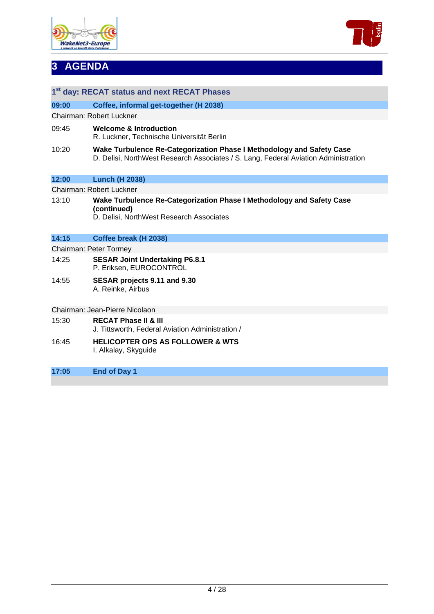



# **3 AGENDA**

|                                | 1 <sup>st</sup> day: RECAT status and next RECAT Phases                                                                                                      |  |  |  |
|--------------------------------|--------------------------------------------------------------------------------------------------------------------------------------------------------------|--|--|--|
| 09:00                          | Coffee, informal get-together (H 2038)                                                                                                                       |  |  |  |
|                                | Chairman: Robert Luckner                                                                                                                                     |  |  |  |
| 09:45                          | <b>Welcome &amp; Introduction</b><br>R. Luckner, Technische Universität Berlin                                                                               |  |  |  |
| 10:20                          | Wake Turbulence Re-Categorization Phase I Methodology and Safety Case<br>D. Delisi, NorthWest Research Associates / S. Lang, Federal Aviation Administration |  |  |  |
| 12:00                          | <b>Lunch (H 2038)</b>                                                                                                                                        |  |  |  |
|                                | Chairman: Robert Luckner                                                                                                                                     |  |  |  |
| 13:10                          | Wake Turbulence Re-Categorization Phase I Methodology and Safety Case<br>(continued)<br>D. Delisi, NorthWest Research Associates                             |  |  |  |
| 14:15                          | Coffee break (H 2038)                                                                                                                                        |  |  |  |
| Chairman: Peter Tormey         |                                                                                                                                                              |  |  |  |
| 14:25                          | <b>SESAR Joint Undertaking P6.8.1</b><br>P. Eriksen, EUROCONTROL                                                                                             |  |  |  |
| 14:55                          | SESAR projects 9.11 and 9.30<br>A. Reinke, Airbus                                                                                                            |  |  |  |
| Chairman: Jean-Pierre Nicolaon |                                                                                                                                                              |  |  |  |
| 15:30                          | <b>RECAT Phase II &amp; III</b><br>J. Tittsworth, Federal Aviation Administration /                                                                          |  |  |  |
| 16:45                          | <b>HELICOPTER OPS AS FOLLOWER &amp; WTS</b><br>I. Alkalay, Skyguide                                                                                          |  |  |  |
| 17:05                          | <b>End of Day 1</b>                                                                                                                                          |  |  |  |
|                                |                                                                                                                                                              |  |  |  |
|                                |                                                                                                                                                              |  |  |  |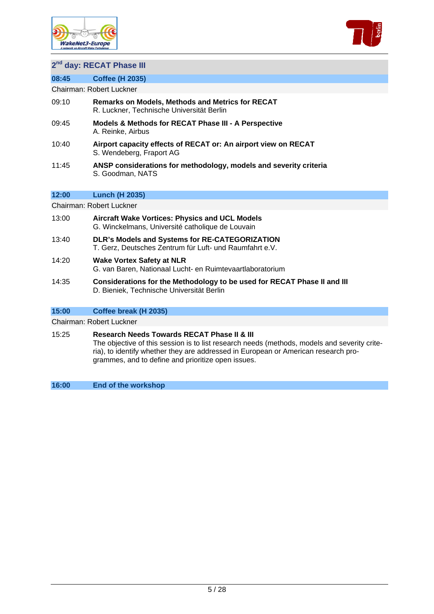



# **2nd day: RECAT Phase III**

**08:45 Coffee (H 2035)** 

Chairman: Robert Luckner

- 09:10 **Remarks on Models, Methods and Metrics for RECAT** R. Luckner, Technische Universität Berlin
- 09:45 **Models & Methods for RECAT Phase III A Perspective**  A. Reinke, Airbus
- 10:40 **Airport capacity effects of RECAT or: An airport view on RECAT** S. Wendeberg, Fraport AG
- 11:45 **ANSP considerations for methodology, models and severity criteria**  S. Goodman, NATS

#### **12:00 Lunch (H 2035)**

Chairman: Robert Luckner

- 13:00 **Aircraft Wake Vortices: Physics and UCL Models**  G. Winckelmans, Université catholique de Louvain
- 13:40 **DLR's Models and Systems for RE-CATEGORIZATION**  T. Gerz, Deutsches Zentrum für Luft- und Raumfahrt e.V.
- 14:20 **Wake Vortex Safety at NLR** G. van Baren, Nationaal Lucht- en Ruimtevaartlaboratorium
- 14:35 **Considerations for the Methodology to be used for RECAT Phase II and III** D. Bieniek, Technische Universität Berlin

#### **15:00 Coffee break (H 2035)**

Chairman: Robert Luckner

#### 15:25 **Research Needs Towards RECAT Phase II & III**

The objective of this session is to list research needs (methods, models and severity criteria), to identify whether they are addressed in European or American research programmes, and to define and prioritize open issues.

**16:00 End of the workshop**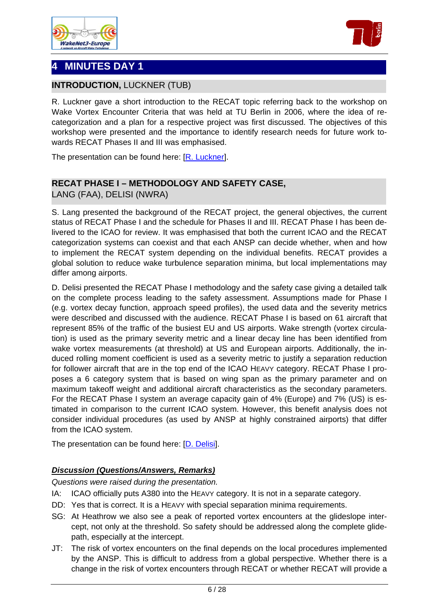



# **4 MINUTES DAY 1**

# **INTRODUCTION, LUCKNER (TUB)**

R. Luckner gave a short introduction to the RECAT topic referring back to the workshop on Wake Vortex Encounter Criteria that was held at TU Berlin in 2006, where the idea of recategorization and a plan for a respective project was first discussed. The objectives of this workshop were presented and the importance to identify research needs for future work towards RECAT Phases II and III was emphasised.

The presentation can be found here: [\[R. Luckner\]](http://www.wakenet.eu/fileadmin/user_upload/SpecificWorkshop_RECAT/TUB_Intro%20RECAT%20Workshop%20%28Luckner%29%20v1.pdf).

# **RECAT PHASE I – METHODOLOGY AND SAFETY CASE,**

LANG (FAA), DELISI (NWRA)

S. Lang presented the background of the RECAT project, the general objectives, the current status of RECAT Phase I and the schedule for Phases II and III. RECAT Phase I has been delivered to the ICAO for review. It was emphasised that both the current ICAO and the RECAT categorization systems can coexist and that each ANSP can decide whether, when and how to implement the RECAT system depending on the individual benefits. RECAT provides a global solution to reduce wake turbulence separation minima, but local implementations may differ among airports.

D. Delisi presented the RECAT Phase I methodology and the safety case giving a detailed talk on the complete process leading to the safety assessment. Assumptions made for Phase I (e.g. vortex decay function, approach speed profiles), the used data and the severity metrics were described and discussed with the audience. RECAT Phase I is based on 61 aircraft that represent 85% of the traffic of the busiest EU and US airports. Wake strength (vortex circulation) is used as the primary severity metric and a linear decay line has been identified from wake vortex measurements (at threshold) at US and European airports. Additionally, the induced rolling moment coefficient is used as a severity metric to justify a separation reduction for follower aircraft that are in the top end of the ICAO HEAVY category. RECAT Phase I proposes a 6 category system that is based on wing span as the primary parameter and on maximum takeoff weight and additional aircraft characteristics as the secondary parameters. For the RECAT Phase I system an average capacity gain of 4% (Europe) and 7% (US) is estimated in comparison to the current ICAO system. However, this benefit analysis does not consider individual procedures (as used by ANSP at highly constrained airports) that differ from the ICAO system.

The presentation can be found here: [\[D. Delisi](http://www.wakenet.eu/fileadmin/user_upload/SpecificWorkshop_RECAT/FAA_RECAT%20Talk%20Berlin%20062011%20%20ver4.pdf)].

# *Discussion (Questions/Answers, Remarks)*

*Questions were raised during the presentation.* 

- IA: ICAO officially puts A380 into the HEAVY category. It is not in a separate category.
- DD: Yes that is correct. It is a HEAVY with special separation minima requirements.
- SG: At Heathrow we also see a peak of reported vortex encounters at the glideslope intercept, not only at the threshold. So safety should be addressed along the complete glidepath, especially at the intercept.
- JT: The risk of vortex encounters on the final depends on the local procedures implemented by the ANSP. This is difficult to address from a global perspective. Whether there is a change in the risk of vortex encounters through RECAT or whether RECAT will provide a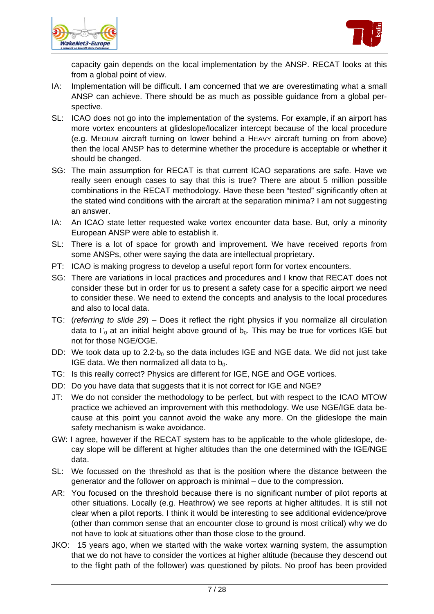



capacity gain depends on the local implementation by the ANSP. RECAT looks at this from a global point of view.

- IA: Implementation will be difficult. I am concerned that we are overestimating what a small ANSP can achieve. There should be as much as possible guidance from a global perspective.
- SL: ICAO does not go into the implementation of the systems. For example, if an airport has more vortex encounters at glideslope/localizer intercept because of the local procedure (e.g. MEDIUM aircraft turning on lower behind a HEAVY aircraft turning on from above) then the local ANSP has to determine whether the procedure is acceptable or whether it should be changed.
- SG: The main assumption for RECAT is that current ICAO separations are safe. Have we really seen enough cases to say that this is true? There are about 5 million possible combinations in the RECAT methodology. Have these been "tested" significantly often at the stated wind conditions with the aircraft at the separation minima? I am not suggesting an answer.
- IA: An ICAO state letter requested wake vortex encounter data base. But, only a minority European ANSP were able to establish it.
- SL: There is a lot of space for growth and improvement. We have received reports from some ANSPs, other were saying the data are intellectual proprietary.
- PT: ICAO is making progress to develop a useful report form for vortex encounters.
- SG: There are variations in local practices and procedures and I know that RECAT does not consider these but in order for us to present a safety case for a specific airport we need to consider these. We need to extend the concepts and analysis to the local procedures and also to local data.
- TG: (*referring to slide 29*) Does it reflect the right physics if you normalize all circulation data to  $\Gamma_0$  at an initial height above ground of  $b_0$ . This may be true for vortices IGE but not for those NGE/OGE.
- DD: We took data up to 2.2 $\cdot$ b<sub>0</sub> so the data includes IGE and NGE data. We did not just take IGE data. We then normalized all data to  $b_0$ .
- TG: Is this really correct? Physics are different for IGE, NGE and OGE vortices.
- DD: Do you have data that suggests that it is not correct for IGE and NGE?
- JT: We do not consider the methodology to be perfect, but with respect to the ICAO MTOW practice we achieved an improvement with this methodology. We use NGE/IGE data because at this point you cannot avoid the wake any more. On the glideslope the main safety mechanism is wake avoidance.
- GW: I agree, however if the RECAT system has to be applicable to the whole glideslope, decay slope will be different at higher altitudes than the one determined with the IGE/NGE data.
- SL: We focussed on the threshold as that is the position where the distance between the generator and the follower on approach is minimal – due to the compression.
- AR: You focused on the threshold because there is no significant number of pilot reports at other situations. Locally (e.g. Heathrow) we see reports at higher altitudes. It is still not clear when a pilot reports. I think it would be interesting to see additional evidence/prove (other than common sense that an encounter close to ground is most critical) why we do not have to look at situations other than those close to the ground.
- JKO: 15 years ago, when we started with the wake vortex warning system, the assumption that we do not have to consider the vortices at higher altitude (because they descend out to the flight path of the follower) was questioned by pilots. No proof has been provided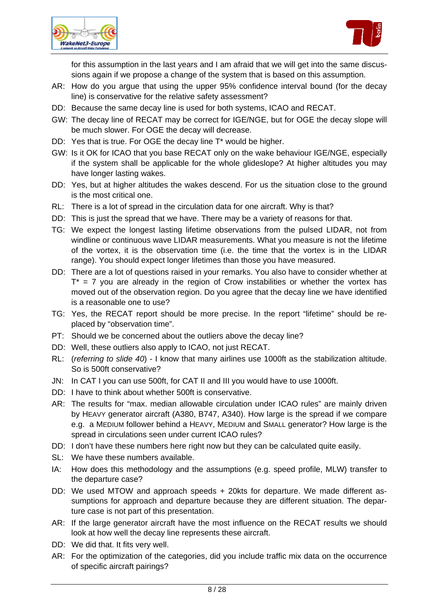



for this assumption in the last years and I am afraid that we will get into the same discussions again if we propose a change of the system that is based on this assumption.

- AR: How do you argue that using the upper 95% confidence interval bound (for the decay line) is conservative for the relative safety assessment?
- DD: Because the same decay line is used for both systems, ICAO and RECAT.
- GW: The decay line of RECAT may be correct for IGE/NGE, but for OGE the decay slope will be much slower. For OGE the decay will decrease.
- DD: Yes that is true. For OGE the decay line T\* would be higher.
- GW: Is it OK for ICAO that you base RECAT only on the wake behaviour IGE/NGE, especially if the system shall be applicable for the whole glideslope? At higher altitudes you may have longer lasting wakes.
- DD: Yes, but at higher altitudes the wakes descend. For us the situation close to the ground is the most critical one.
- RL: There is a lot of spread in the circulation data for one aircraft. Why is that?
- DD: This is just the spread that we have. There may be a variety of reasons for that.
- TG: We expect the longest lasting lifetime observations from the pulsed LIDAR, not from windline or continuous wave LIDAR measurements. What you measure is not the lifetime of the vortex, it is the observation time (i.e. the time that the vortex is in the LIDAR range). You should expect longer lifetimes than those you have measured.
- DD: There are a lot of questions raised in your remarks. You also have to consider whether at  $T^*$  = 7 you are already in the region of Crow instabilities or whether the vortex has moved out of the observation region. Do you agree that the decay line we have identified is a reasonable one to use?
- TG: Yes, the RECAT report should be more precise. In the report "lifetime" should be replaced by "observation time".
- PT: Should we be concerned about the outliers above the decay line?
- DD: Well, these outliers also apply to ICAO, not just RECAT.
- RL: (*referring to slide 40*) I know that many airlines use 1000ft as the stabilization altitude. So is 500ft conservative?
- JN: In CAT I you can use 500ft, for CAT II and III you would have to use 1000ft.
- DD: I have to think about whether 500ft is conservative.
- AR: The results for "max. median allowable circulation under ICAO rules" are mainly driven by HEAVY generator aircraft (A380, B747, A340). How large is the spread if we compare e.g. a MEDIUM follower behind a HEAVY, MEDIUM and SMALL generator? How large is the spread in circulations seen under current ICAO rules?
- DD: I don't have these numbers here right now but they can be calculated quite easily.
- SL: We have these numbers available.
- IA: How does this methodology and the assumptions (e.g. speed profile, MLW) transfer to the departure case?
- DD: We used MTOW and approach speeds + 20kts for departure. We made different assumptions for approach and departure because they are different situation. The departure case is not part of this presentation.
- AR: If the large generator aircraft have the most influence on the RECAT results we should look at how well the decay line represents these aircraft.
- DD: We did that. It fits very well.
- AR: For the optimization of the categories, did you include traffic mix data on the occurrence of specific aircraft pairings?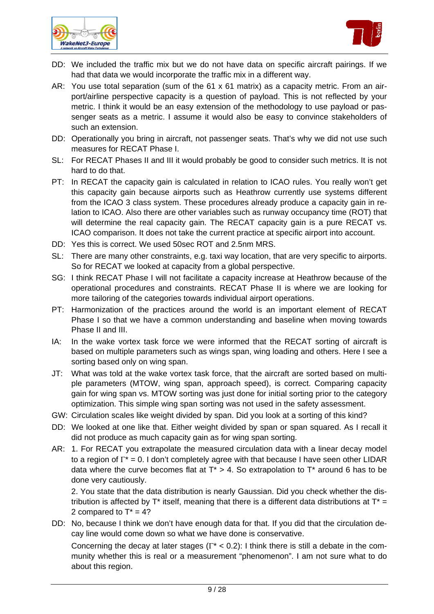



- DD: We included the traffic mix but we do not have data on specific aircraft pairings. If we had that data we would incorporate the traffic mix in a different way.
- AR: You use total separation (sum of the 61 x 61 matrix) as a capacity metric. From an airport/airline perspective capacity is a question of payload. This is not reflected by your metric. I think it would be an easy extension of the methodology to use payload or passenger seats as a metric. I assume it would also be easy to convince stakeholders of such an extension.
- DD: Operationally you bring in aircraft, not passenger seats. That's why we did not use such measures for RECAT Phase I.
- SL: For RECAT Phases II and III it would probably be good to consider such metrics. It is not hard to do that.
- PT: In RECAT the capacity gain is calculated in relation to ICAO rules. You really won't get this capacity gain because airports such as Heathrow currently use systems different from the ICAO 3 class system. These procedures already produce a capacity gain in relation to ICAO. Also there are other variables such as runway occupancy time (ROT) that will determine the real capacity gain. The RECAT capacity gain is a pure RECAT vs. ICAO comparison. It does not take the current practice at specific airport into account.
- DD: Yes this is correct. We used 50sec ROT and 2.5nm MRS.
- SL: There are many other constraints, e.g. taxi way location, that are very specific to airports. So for RECAT we looked at capacity from a global perspective.
- SG: I think RECAT Phase I will not facilitate a capacity increase at Heathrow because of the operational procedures and constraints. RECAT Phase II is where we are looking for more tailoring of the categories towards individual airport operations.
- PT: Harmonization of the practices around the world is an important element of RECAT Phase I so that we have a common understanding and baseline when moving towards Phase II and III.
- IA: In the wake vortex task force we were informed that the RECAT sorting of aircraft is based on multiple parameters such as wings span, wing loading and others. Here I see a sorting based only on wing span.
- JT: What was told at the wake vortex task force, that the aircraft are sorted based on multiple parameters (MTOW, wing span, approach speed), is correct. Comparing capacity gain for wing span vs. MTOW sorting was just done for initial sorting prior to the category optimization. This simple wing span sorting was not used in the safety assessment.
- GW: Circulation scales like weight divided by span. Did you look at a sorting of this kind?
- DD: We looked at one like that. Either weight divided by span or span squared. As I recall it did not produce as much capacity gain as for wing span sorting.
- AR: 1. For RECAT you extrapolate the measured circulation data with a linear decay model to a region of  $\Gamma^* = 0$ . I don't completely agree with that because I have seen other LIDAR data where the curve becomes flat at  $T^* > 4$ . So extrapolation to  $T^*$  around 6 has to be done very cautiously.

 2. You state that the data distribution is nearly Gaussian. Did you check whether the distribution is affected by  $T^*$  itself, meaning that there is a different data distributions at  $T^*$  = 2 compared to  $T^* = 4$ ?

DD: No, because I think we don't have enough data for that. If you did that the circulation decay line would come down so what we have done is conservative.

Concerning the decay at later stages ( $\Gamma^*$  < 0.2): I think there is still a debate in the community whether this is real or a measurement "phenomenon". I am not sure what to do about this region.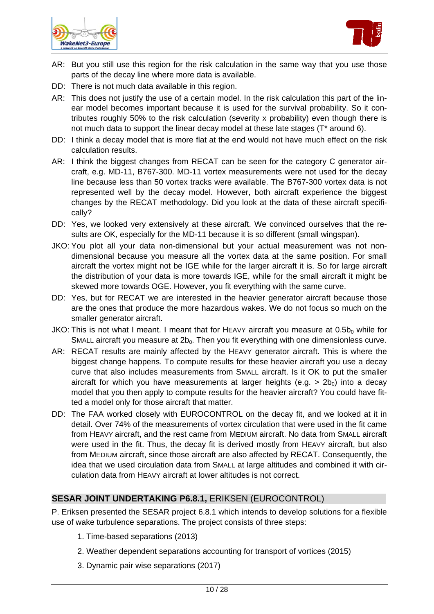



- AR: But you still use this region for the risk calculation in the same way that you use those parts of the decay line where more data is available.
- DD: There is not much data available in this region.
- AR: This does not justify the use of a certain model. In the risk calculation this part of the linear model becomes important because it is used for the survival probability. So it contributes roughly 50% to the risk calculation (severity x probability) even though there is not much data to support the linear decay model at these late stages (T\* around 6).
- DD: I think a decay model that is more flat at the end would not have much effect on the risk calculation results.
- AR: I think the biggest changes from RECAT can be seen for the category C generator aircraft, e.g. MD-11, B767-300. MD-11 vortex measurements were not used for the decay line because less than 50 vortex tracks were available. The B767-300 vortex data is not represented well by the decay model. However, both aircraft experience the biggest changes by the RECAT methodology. Did you look at the data of these aircraft specifically?
- DD: Yes, we looked very extensively at these aircraft. We convinced ourselves that the results are OK, especially for the MD-11 because it is so different (small wingspan).
- JKO: You plot all your data non-dimensional but your actual measurement was not nondimensional because you measure all the vortex data at the same position. For small aircraft the vortex might not be IGE while for the larger aircraft it is. So for large aircraft the distribution of your data is more towards IGE, while for the small aircraft it might be skewed more towards OGE. However, you fit everything with the same curve.
- DD: Yes, but for RECAT we are interested in the heavier generator aircraft because those are the ones that produce the more hazardous wakes. We do not focus so much on the smaller generator aircraft.
- JKO: This is not what I meant. I meant that for HEAVY aircraft you measure at  $0.5b<sub>0</sub>$  while for SMALL aircraft you measure at  $2b_0$ . Then you fit everything with one dimensionless curve.
- AR: RECAT results are mainly affected by the HEAVY generator aircraft. This is where the biggest change happens. To compute results for these heavier aircraft you use a decay curve that also includes measurements from SMALL aircraft. Is it OK to put the smaller aircraft for which you have measurements at larger heights (e.g.  $> 2b_0$ ) into a decay model that you then apply to compute results for the heavier aircraft? You could have fitted a model only for those aircraft that matter.
- DD: The FAA worked closely with EUROCONTROL on the decay fit, and we looked at it in detail. Over 74% of the measurements of vortex circulation that were used in the fit came from HEAVY aircraft, and the rest came from MEDIUM aircraft. No data from SMALL aircraft were used in the fit. Thus, the decay fit is derived mostly from HEAVY aircraft, but also from MEDIUM aircraft, since those aircraft are also affected by RECAT. Consequently, the idea that we used circulation data from SMALL at large altitudes and combined it with circulation data from HEAVY aircraft at lower altitudes is not correct.

# **SESAR JOINT UNDERTAKING P6.8.1,** ERIKSEN (EUROCONTROL)

P. Eriksen presented the SESAR project 6.8.1 which intends to develop solutions for a flexible use of wake turbulence separations. The project consists of three steps:

- 1. Time-based separations (2013)
- 2. Weather dependent separations accounting for transport of vortices (2015)
- 3. Dynamic pair wise separations (2017)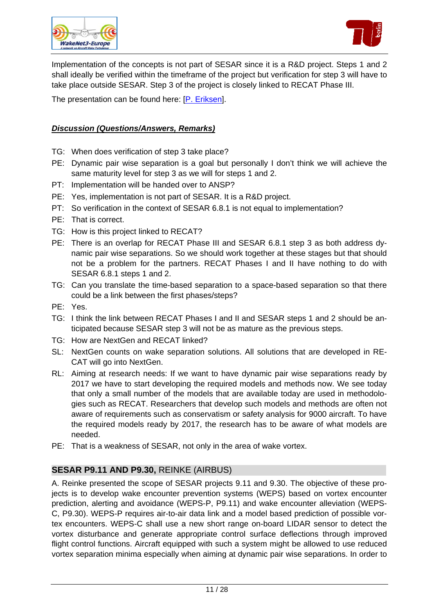



Implementation of the concepts is not part of SESAR since it is a R&D project. Steps 1 and 2 shall ideally be verified within the timeframe of the project but verification for step 3 will have to take place outside SESAR. Step 3 of the project is closely linked to RECAT Phase III.

The presentation can be found here: [\[P. Eriksen](http://www.wakenet.eu/fileadmin/user_upload/SpecificWorkshop_RECAT/Eurocontrol_WakeNet%20Europe%20-%20June2011%20-%20SJU%20P681.pdf)].

# *Discussion (Questions/Answers, Remarks)*

- TG: When does verification of step 3 take place?
- PE: Dynamic pair wise separation is a goal but personally I don't think we will achieve the same maturity level for step 3 as we will for steps 1 and 2.
- PT: Implementation will be handed over to ANSP?
- PE: Yes, implementation is not part of SESAR. It is a R&D project.
- PT: So verification in the context of SESAR 6.8.1 is not equal to implementation?
- PE: That is correct.
- TG: How is this project linked to RECAT?
- PE: There is an overlap for RECAT Phase III and SESAR 6.8.1 step 3 as both address dynamic pair wise separations. So we should work together at these stages but that should not be a problem for the partners. RECAT Phases I and II have nothing to do with SESAR 6.8.1 steps 1 and 2.
- TG: Can you translate the time-based separation to a space-based separation so that there could be a link between the first phases/steps?
- PE: Yes.
- TG: I think the link between RECAT Phases I and II and SESAR steps 1 and 2 should be anticipated because SESAR step 3 will not be as mature as the previous steps.
- TG: How are NextGen and RECAT linked?
- SL: NextGen counts on wake separation solutions. All solutions that are developed in RE-CAT will go into NextGen.
- RL: Aiming at research needs: If we want to have dynamic pair wise separations ready by 2017 we have to start developing the required models and methods now. We see today that only a small number of the models that are available today are used in methodologies such as RECAT. Researchers that develop such models and methods are often not aware of requirements such as conservatism or safety analysis for 9000 aircraft. To have the required models ready by 2017, the research has to be aware of what models are needed.
- PE: That is a weakness of SESAR, not only in the area of wake vortex.

# **SESAR P9.11 AND P9.30,** REINKE (AIRBUS)

A. Reinke presented the scope of SESAR projects 9.11 and 9.30. The objective of these projects is to develop wake encounter prevention systems (WEPS) based on vortex encounter prediction, alerting and avoidance (WEPS-P, P9.11) and wake encounter alleviation (WEPS-C, P9.30). WEPS-P requires air-to-air data link and a model based prediction of possible vortex encounters. WEPS-C shall use a new short range on-board LIDAR sensor to detect the vortex disturbance and generate appropriate control surface deflections through improved flight control functions. Aircraft equipped with such a system might be allowed to use reduced vortex separation minima especially when aiming at dynamic pair wise separations. In order to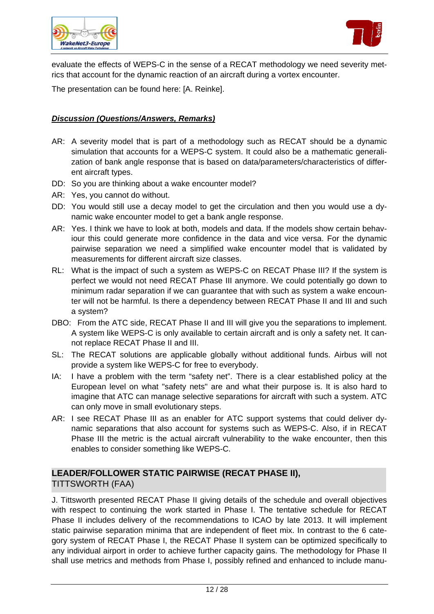



evaluate the effects of WEPS-C in the sense of a RECAT methodology we need severity metrics that account for the dynamic reaction of an aircraft during a vortex encounter.

The presentation can be found here: [A. Reinke].

# *Discussion (Questions/Answers, Remarks)*

- AR: A severity model that is part of a methodology such as RECAT should be a dynamic simulation that accounts for a WEPS-C system. It could also be a mathematic generalization of bank angle response that is based on data/parameters/characteristics of different aircraft types.
- DD: So you are thinking about a wake encounter model?
- AR: Yes, you cannot do without.
- DD: You would still use a decay model to get the circulation and then you would use a dynamic wake encounter model to get a bank angle response.
- AR: Yes. I think we have to look at both, models and data. If the models show certain behaviour this could generate more confidence in the data and vice versa. For the dynamic pairwise separation we need a simplified wake encounter model that is validated by measurements for different aircraft size classes.
- RL: What is the impact of such a system as WEPS-C on RECAT Phase III? If the system is perfect we would not need RECAT Phase III anymore. We could potentially go down to minimum radar separation if we can guarantee that with such as system a wake encounter will not be harmful. Is there a dependency between RECAT Phase II and III and such a system?
- DBO: From the ATC side, RECAT Phase II and III will give you the separations to implement. A system like WEPS-C is only available to certain aircraft and is only a safety net. It cannot replace RECAT Phase II and III.
- SL: The RECAT solutions are applicable globally without additional funds. Airbus will not provide a system like WEPS-C for free to everybody.
- IA: I have a problem with the term "safety net". There is a clear established policy at the European level on what "safety nets" are and what their purpose is. It is also hard to imagine that ATC can manage selective separations for aircraft with such a system. ATC can only move in small evolutionary steps.
- AR: I see RECAT Phase III as an enabler for ATC support systems that could deliver dynamic separations that also account for systems such as WEPS-C. Also, if in RECAT Phase III the metric is the actual aircraft vulnerability to the wake encounter, then this enables to consider something like WEPS-C.

# **LEADER/FOLLOWER STATIC PAIRWISE (RECAT PHASE II),**

# TITTSWORTH (FAA)

J. Tittsworth presented RECAT Phase II giving details of the schedule and overall objectives with respect to continuing the work started in Phase I. The tentative schedule for RECAT Phase II includes delivery of the recommendations to ICAO by late 2013. It will implement static pairwise separation minima that are independent of fleet mix. In contrast to the 6 category system of RECAT Phase I, the RECAT Phase II system can be optimized specifically to any individual airport in order to achieve further capacity gains. The methodology for Phase II shall use metrics and methods from Phase I, possibly refined and enhanced to include manu-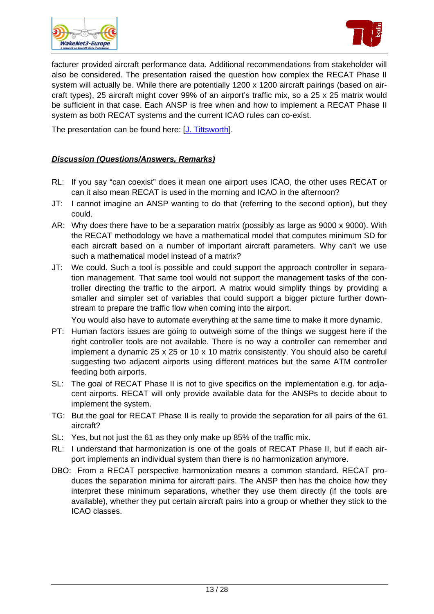



facturer provided aircraft performance data. Additional recommendations from stakeholder will also be considered. The presentation raised the question how complex the RECAT Phase II system will actually be. While there are potentially 1200 x 1200 aircraft pairings (based on aircraft types), 25 aircraft might cover 99% of an airport's traffic mix, so a 25 x 25 matrix would be sufficient in that case. Each ANSP is free when and how to implement a RECAT Phase II system as both RECAT systems and the current ICAO rules can co-exist.

The presentation can be found here: [\[J. Tittsworth\]](http://www.wakenet.eu/fileadmin/user_upload/SpecificWorkshop_RECAT/FAA_Leader-Follower%20Static%20Pairwise%20%28RECAT%20Phase%20II%29%20ver4.pdf).

# *Discussion (Questions/Answers, Remarks)*

- RL: If you say "can coexist" does it mean one airport uses ICAO, the other uses RECAT or can it also mean RECAT is used in the morning and ICAO in the afternoon?
- JT: I cannot imagine an ANSP wanting to do that (referring to the second option), but they could.
- AR: Why does there have to be a separation matrix (possibly as large as 9000 x 9000). With the RECAT methodology we have a mathematical model that computes minimum SD for each aircraft based on a number of important aircraft parameters. Why can't we use such a mathematical model instead of a matrix?
- JT: We could. Such a tool is possible and could support the approach controller in separation management. That same tool would not support the management tasks of the controller directing the traffic to the airport. A matrix would simplify things by providing a smaller and simpler set of variables that could support a bigger picture further downstream to prepare the traffic flow when coming into the airport.

You would also have to automate everything at the same time to make it more dynamic.

- PT: Human factors issues are going to outweigh some of the things we suggest here if the right controller tools are not available. There is no way a controller can remember and implement a dynamic 25 x 25 or 10 x 10 matrix consistently. You should also be careful suggesting two adjacent airports using different matrices but the same ATM controller feeding both airports.
- SL: The goal of RECAT Phase II is not to give specifics on the implementation e.g. for adjacent airports. RECAT will only provide available data for the ANSPs to decide about to implement the system.
- TG: But the goal for RECAT Phase II is really to provide the separation for all pairs of the 61 aircraft?
- SL: Yes, but not just the 61 as they only make up 85% of the traffic mix.
- RL: I understand that harmonization is one of the goals of RECAT Phase II, but if each airport implements an individual system than there is no harmonization anymore.
- DBO: From a RECAT perspective harmonization means a common standard. RECAT produces the separation minima for aircraft pairs. The ANSP then has the choice how they interpret these minimum separations, whether they use them directly (if the tools are available), whether they put certain aircraft pairs into a group or whether they stick to the ICAO classes.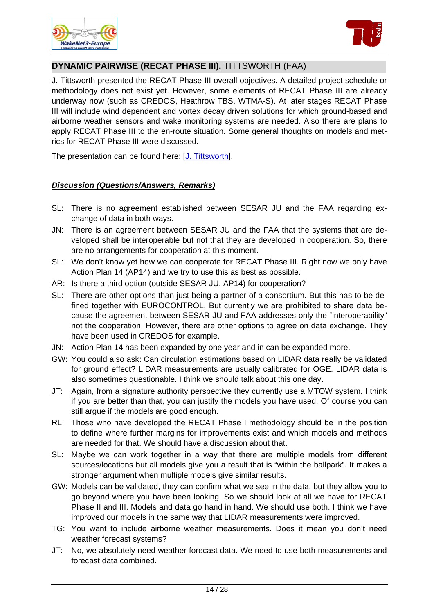



# **DYNAMIC PAIRWISE (RECAT PHASE III),** TITTSWORTH (FAA)

J. Tittsworth presented the RECAT Phase III overall objectives. A detailed project schedule or methodology does not exist yet. However, some elements of RECAT Phase III are already underway now (such as CREDOS, Heathrow TBS, WTMA-S). At later stages RECAT Phase III will include wind dependent and vortex decay driven solutions for which ground-based and airborne weather sensors and wake monitoring systems are needed. Also there are plans to apply RECAT Phase III to the en-route situation. Some general thoughts on models and metrics for RECAT Phase III were discussed.

The presentation can be found here: [\[J. Tittsworth\]](http://www.wakenet.eu/fileadmin/user_upload/SpecificWorkshop_RECAT/FAA_Dynamic%20Pairwise%20%28RECAT%20Phase%20III%29%20ver4.pdf).

- SL: There is no agreement established between SESAR JU and the FAA regarding exchange of data in both ways.
- JN: There is an agreement between SESAR JU and the FAA that the systems that are developed shall be interoperable but not that they are developed in cooperation. So, there are no arrangements for cooperation at this moment.
- SL: We don't know yet how we can cooperate for RECAT Phase III. Right now we only have Action Plan 14 (AP14) and we try to use this as best as possible.
- AR: Is there a third option (outside SESAR JU, AP14) for cooperation?
- SL: There are other options than just being a partner of a consortium. But this has to be defined together with EUROCONTROL. But currently we are prohibited to share data because the agreement between SESAR JU and FAA addresses only the "interoperability" not the cooperation. However, there are other options to agree on data exchange. They have been used in CREDOS for example.
- JN: Action Plan 14 has been expanded by one year and in can be expanded more.
- GW: You could also ask: Can circulation estimations based on LIDAR data really be validated for ground effect? LIDAR measurements are usually calibrated for OGE. LIDAR data is also sometimes questionable. I think we should talk about this one day.
- JT: Again, from a signature authority perspective they currently use a MTOW system. I think if you are better than that, you can justify the models you have used. Of course you can still argue if the models are good enough.
- RL: Those who have developed the RECAT Phase I methodology should be in the position to define where further margins for improvements exist and which models and methods are needed for that. We should have a discussion about that.
- SL: Maybe we can work together in a way that there are multiple models from different sources/locations but all models give you a result that is "within the ballpark". It makes a stronger argument when multiple models give similar results.
- GW: Models can be validated, they can confirm what we see in the data, but they allow you to go beyond where you have been looking. So we should look at all we have for RECAT Phase II and III. Models and data go hand in hand. We should use both. I think we have improved our models in the same way that LIDAR measurements were improved.
- TG: You want to include airborne weather measurements. Does it mean you don't need weather forecast systems?
- JT: No, we absolutely need weather forecast data. We need to use both measurements and forecast data combined.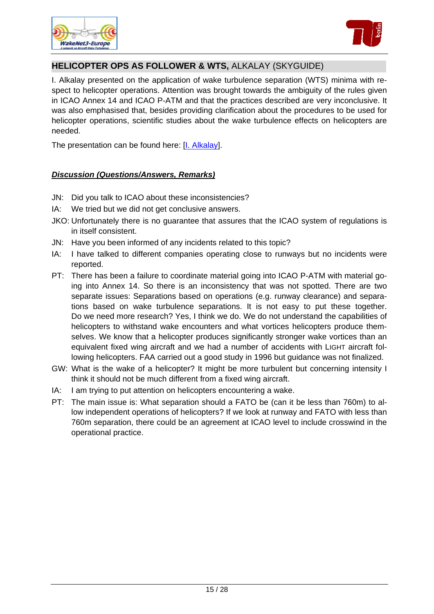



# **HELICOPTER OPS AS FOLLOWER & WTS,** ALKALAY (SKYGUIDE)

I. Alkalay presented on the application of wake turbulence separation (WTS) minima with respect to helicopter operations. Attention was brought towards the ambiguity of the rules given in ICAO Annex 14 and ICAO P-ATM and that the practices described are very inconclusive. It was also emphasised that, besides providing clarification about the procedures to be used for helicopter operations, scientific studies about the wake turbulence effects on helicopters are needed.

The presentation can be found here: [\[I. Alkalay\]](http://www.wakenet.eu/fileadmin/user_upload/SpecificWorkshop_RECAT/Skyguide_Heli%20ops_ICAO%20ambiguity_wake%20net%20Berlin_110620.pdf).

- JN: Did you talk to ICAO about these inconsistencies?
- IA: We tried but we did not get conclusive answers.
- JKO: Unfortunately there is no guarantee that assures that the ICAO system of regulations is in itself consistent.
- JN: Have you been informed of any incidents related to this topic?
- IA: I have talked to different companies operating close to runways but no incidents were reported.
- PT: There has been a failure to coordinate material going into ICAO P-ATM with material going into Annex 14. So there is an inconsistency that was not spotted. There are two separate issues: Separations based on operations (e.g. runway clearance) and separations based on wake turbulence separations. It is not easy to put these together. Do we need more research? Yes, I think we do. We do not understand the capabilities of helicopters to withstand wake encounters and what vortices helicopters produce themselves. We know that a helicopter produces significantly stronger wake vortices than an equivalent fixed wing aircraft and we had a number of accidents with LIGHT aircraft following helicopters. FAA carried out a good study in 1996 but guidance was not finalized.
- GW: What is the wake of a helicopter? It might be more turbulent but concerning intensity I think it should not be much different from a fixed wing aircraft.
- IA: I am trying to put attention on helicopters encountering a wake.
- PT: The main issue is: What separation should a FATO be (can it be less than 760m) to allow independent operations of helicopters? If we look at runway and FATO with less than 760m separation, there could be an agreement at ICAO level to include crosswind in the operational practice.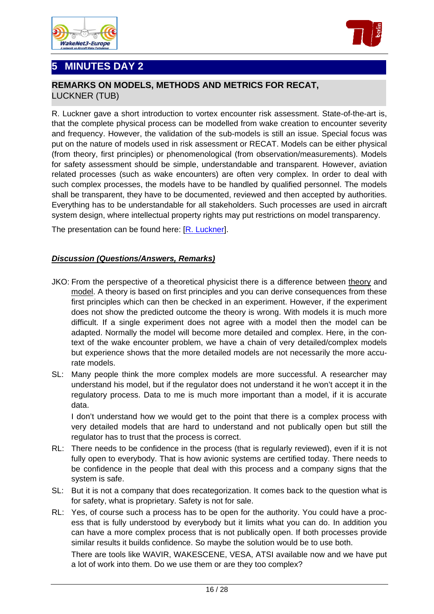





# **REMARKS ON MODELS, METHODS AND METRICS FOR RECAT,**  LUCKNER (TUB)

R. Luckner gave a short introduction to vortex encounter risk assessment. State-of-the-art is, that the complete physical process can be modelled from wake creation to encounter severity and frequency. However, the validation of the sub-models is still an issue. Special focus was put on the nature of models used in risk assessment or RECAT. Models can be either physical (from theory, first principles) or phenomenological (from observation/measurements). Models for safety assessment should be simple, understandable and transparent. However, aviation related processes (such as wake encounters) are often very complex. In order to deal with such complex processes, the models have to be handled by qualified personnel. The models shall be transparent, they have to be documented, reviewed and then accepted by authorities. Everything has to be understandable for all stakeholders. Such processes are used in aircraft system design, where intellectual property rights may put restrictions on model transparency.

The presentation can be found here: [\[R. Luckner\]](http://www.wakenet.eu/fileadmin/user_upload/SpecificWorkshop_RECAT/TUB_Remarks%20on%20Model%20and%20Methods%20%28Luckner%29%20v1.pdf).

# *Discussion (Questions/Answers, Remarks)*

- JKO: From the perspective of a theoretical physicist there is a difference between theory and model. A theory is based on first principles and you can derive consequences from these first principles which can then be checked in an experiment. However, if the experiment does not show the predicted outcome the theory is wrong. With models it is much more difficult. If a single experiment does not agree with a model then the model can be adapted. Normally the model will become more detailed and complex. Here, in the context of the wake encounter problem, we have a chain of very detailed/complex models but experience shows that the more detailed models are not necessarily the more accurate models.
- SL: Many people think the more complex models are more successful. A researcher may understand his model, but if the regulator does not understand it he won't accept it in the regulatory process. Data to me is much more important than a model, if it is accurate data.

 I don't understand how we would get to the point that there is a complex process with very detailed models that are hard to understand and not publically open but still the regulator has to trust that the process is correct.

- RL: There needs to be confidence in the process (that is regularly reviewed), even if it is not fully open to everybody. That is how avionic systems are certified today. There needs to be confidence in the people that deal with this process and a company signs that the system is safe.
- SL: But it is not a company that does recategorization. It comes back to the question what is for safety, what is proprietary. Safety is not for sale.
- RL: Yes, of course such a process has to be open for the authority. You could have a process that is fully understood by everybody but it limits what you can do. In addition you can have a more complex process that is not publically open. If both processes provide similar results it builds confidence. So maybe the solution would be to use both.

 There are tools like WAVIR, WAKESCENE, VESA, ATSI available now and we have put a lot of work into them. Do we use them or are they too complex?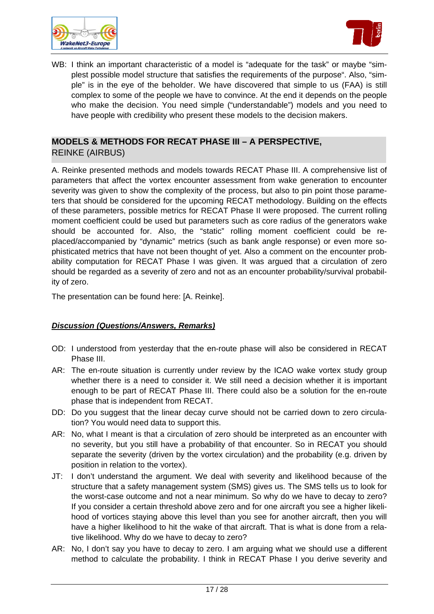



WB: I think an important characteristic of a model is "adequate for the task" or maybe "simplest possible model structure that satisfies the requirements of the purpose". Also, "simple" is in the eye of the beholder. We have discovered that simple to us (FAA) is still complex to some of the people we have to convince. At the end it depends on the people who make the decision. You need simple ("understandable") models and you need to have people with credibility who present these models to the decision makers.

# **MODELS & METHODS FOR RECAT PHASE III – A PERSPECTIVE,**  REINKE (AIRBUS)

A. Reinke presented methods and models towards RECAT Phase III. A comprehensive list of parameters that affect the vortex encounter assessment from wake generation to encounter severity was given to show the complexity of the process, but also to pin point those parameters that should be considered for the upcoming RECAT methodology. Building on the effects of these parameters, possible metrics for RECAT Phase II were proposed. The current rolling moment coefficient could be used but parameters such as core radius of the generators wake should be accounted for. Also, the "static" rolling moment coefficient could be replaced/accompanied by "dynamic" metrics (such as bank angle response) or even more sophisticated metrics that have not been thought of yet. Also a comment on the encounter probability computation for RECAT Phase I was given. It was argued that a circulation of zero should be regarded as a severity of zero and not as an encounter probability/survival probability of zero.

The presentation can be found here: [A. Reinke].

- OD: I understood from yesterday that the en-route phase will also be considered in RECAT Phase III.
- AR: The en-route situation is currently under review by the ICAO wake vortex study group whether there is a need to consider it. We still need a decision whether it is important enough to be part of RECAT Phase III. There could also be a solution for the en-route phase that is independent from RECAT.
- DD: Do you suggest that the linear decay curve should not be carried down to zero circulation? You would need data to support this.
- AR: No, what I meant is that a circulation of zero should be interpreted as an encounter with no severity, but you still have a probability of that encounter. So in RECAT you should separate the severity (driven by the vortex circulation) and the probability (e.g. driven by position in relation to the vortex).
- JT: I don't understand the argument. We deal with severity and likelihood because of the structure that a safety management system (SMS) gives us. The SMS tells us to look for the worst-case outcome and not a near minimum. So why do we have to decay to zero? If you consider a certain threshold above zero and for one aircraft you see a higher likelihood of vortices staying above this level than you see for another aircraft, then you will have a higher likelihood to hit the wake of that aircraft. That is what is done from a relative likelihood. Why do we have to decay to zero?
- AR: No, I don't say you have to decay to zero. I am arguing what we should use a different method to calculate the probability. I think in RECAT Phase I you derive severity and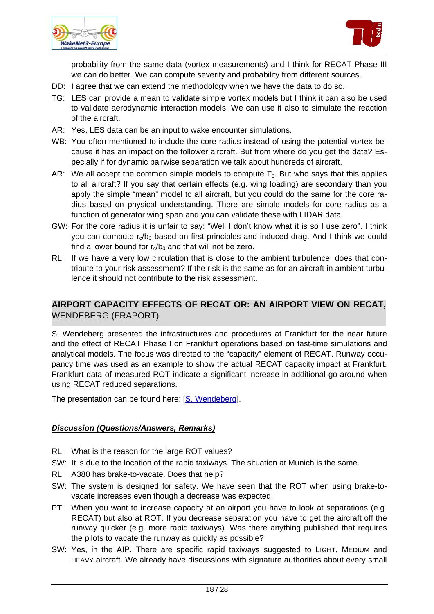



probability from the same data (vortex measurements) and I think for RECAT Phase III we can do better. We can compute severity and probability from different sources.

- DD: I agree that we can extend the methodology when we have the data to do so.
- TG: LES can provide a mean to validate simple vortex models but I think it can also be used to validate aerodynamic interaction models. We can use it also to simulate the reaction of the aircraft.
- AR: Yes, LES data can be an input to wake encounter simulations.
- WB: You often mentioned to include the core radius instead of using the potential vortex because it has an impact on the follower aircraft. But from where do you get the data? Especially if for dynamic pairwise separation we talk about hundreds of aircraft.
- AR: We all accept the common simple models to compute  $\Gamma_0$ . But who says that this applies to all aircraft? If you say that certain effects (e.g. wing loading) are secondary than you apply the simple "mean" model to all aircraft, but you could do the same for the core radius based on physical understanding. There are simple models for core radius as a function of generator wing span and you can validate these with LIDAR data.
- GW: For the core radius it is unfair to say: "Well I don't know what it is so I use zero". I think you can compute  $r_a/b_0$  based on first principles and induced drag. And I think we could find a lower bound for  $r_c/b_0$  and that will not be zero.
- RL: If we have a very low circulation that is close to the ambient turbulence, does that contribute to your risk assessment? If the risk is the same as for an aircraft in ambient turbulence it should not contribute to the risk assessment.

# **AIRPORT CAPACITY EFFECTS OF RECAT OR: AN AIRPORT VIEW ON RECAT,**  WENDEBERG (FRAPORT)

S. Wendeberg presented the infrastructures and procedures at Frankfurt for the near future and the effect of RECAT Phase I on Frankfurt operations based on fast-time simulations and analytical models. The focus was directed to the "capacity" element of RECAT. Runway occupancy time was used as an example to show the actual RECAT capacity impact at Frankfurt. Frankfurt data of measured ROT indicate a significant increase in additional go-around when using RECAT reduced separations.

The presentation can be found here: [\[S. Wendeberg\]](http://www.wakenet.eu/fileadmin/user_upload/SpecificWorkshop_RECAT/Fraport_11-06-21_-RECAT%20at%20FRA_final.pdf).

- RL: What is the reason for the large ROT values?
- SW: It is due to the location of the rapid taxiways. The situation at Munich is the same.
- RL: A380 has brake-to-vacate. Does that help?
- SW: The system is designed for safety. We have seen that the ROT when using brake-tovacate increases even though a decrease was expected.
- PT: When you want to increase capacity at an airport you have to look at separations (e.g. RECAT) but also at ROT. If you decrease separation you have to get the aircraft off the runway quicker (e.g. more rapid taxiways). Was there anything published that requires the pilots to vacate the runway as quickly as possible?
- SW: Yes, in the AIP. There are specific rapid taxiways suggested to LIGHT, MEDIUM and HEAVY aircraft. We already have discussions with signature authorities about every small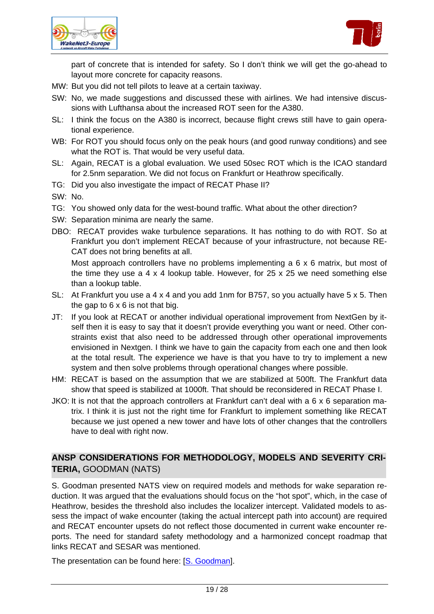



part of concrete that is intended for safety. So I don't think we will get the go-ahead to layout more concrete for capacity reasons.

- MW: But you did not tell pilots to leave at a certain taxiway.
- SW: No, we made suggestions and discussed these with airlines. We had intensive discussions with Lufthansa about the increased ROT seen for the A380.
- SL: I think the focus on the A380 is incorrect, because flight crews still have to gain operational experience.
- WB: For ROT you should focus only on the peak hours (and good runway conditions) and see what the ROT is. That would be very useful data.
- SL: Again, RECAT is a global evaluation. We used 50sec ROT which is the ICAO standard for 2.5nm separation. We did not focus on Frankfurt or Heathrow specifically.
- TG: Did you also investigate the impact of RECAT Phase II?
- SW: No.
- TG: You showed only data for the west-bound traffic. What about the other direction?
- SW: Separation minima are nearly the same.
- DBO: RECAT provides wake turbulence separations. It has nothing to do with ROT. So at Frankfurt you don't implement RECAT because of your infrastructure, not because RE-CAT does not bring benefits at all.

 Most approach controllers have no problems implementing a 6 x 6 matrix, but most of the time they use a 4 x 4 lookup table. However, for 25 x 25 we need something else than a lookup table.

- SL: At Frankfurt you use a 4 x 4 and you add 1nm for B757, so you actually have 5 x 5. Then the gap to  $6 \times 6$  is not that big.
- JT: If you look at RECAT or another individual operational improvement from NextGen by itself then it is easy to say that it doesn't provide everything you want or need. Other constraints exist that also need to be addressed through other operational improvements envisioned in Nextgen. I think we have to gain the capacity from each one and then look at the total result. The experience we have is that you have to try to implement a new system and then solve problems through operational changes where possible.
- HM: RECAT is based on the assumption that we are stabilized at 500ft. The Frankfurt data show that speed is stabilized at 1000ft. That should be reconsidered in RECAT Phase I.
- JKO: It is not that the approach controllers at Frankfurt can't deal with a 6 x 6 separation matrix. I think it is just not the right time for Frankfurt to implement something like RECAT because we just opened a new tower and have lots of other changes that the controllers have to deal with right now.

# **ANSP CONSIDERATIONS FOR METHODOLOGY, MODELS AND SEVERITY CRI-TERIA,** GOODMAN (NATS)

S. Goodman presented NATS view on required models and methods for wake separation reduction. It was argued that the evaluations should focus on the "hot spot", which, in the case of Heathrow, besides the threshold also includes the localizer intercept. Validated models to assess the impact of wake encounter (taking the actual intercept path into account) are required and RECAT encounter upsets do not reflect those documented in current wake encounter reports. The need for standard safety methodology and a harmonized concept roadmap that links RECAT and SESAR was mentioned.

The presentation can be found here: [\[S. Goodman](http://www.wakenet.eu/fileadmin/user_upload/SpecificWorkshop_RECAT/NATS%20-%20SG%20RECAT%20WakeNet3%20June%202011.pdf)].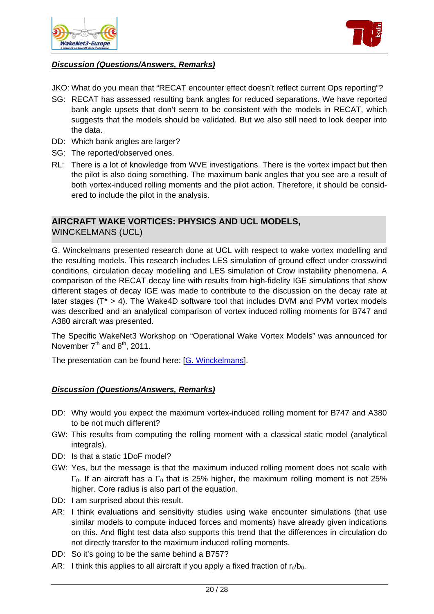



# *Discussion (Questions/Answers, Remarks)*

- JKO: What do you mean that "RECAT encounter effect doesn't reflect current Ops reporting"?
- SG: RECAT has assessed resulting bank angles for reduced separations. We have reported bank angle upsets that don't seem to be consistent with the models in RECAT, which suggests that the models should be validated. But we also still need to look deeper into the data.
- DD: Which bank angles are larger?
- SG: The reported/observed ones.
- RL: There is a lot of knowledge from WVE investigations. There is the vortex impact but then the pilot is also doing something. The maximum bank angles that you see are a result of both vortex-induced rolling moments and the pilot action. Therefore, it should be considered to include the pilot in the analysis.

# **AIRCRAFT WAKE VORTICES: PHYSICS AND UCL MODELS,**  WINCKELMANS (UCL)

G. Winckelmans presented research done at UCL with respect to wake vortex modelling and the resulting models. This research includes LES simulation of ground effect under crosswind conditions, circulation decay modelling and LES simulation of Crow instability phenomena. A comparison of the RECAT decay line with results from high-fidelity IGE simulations that show different stages of decay IGE was made to contribute to the discussion on the decay rate at later stages ( $T^* > 4$ ). The Wake4D software tool that includes DVM and PVM vortex models was described and an analytical comparison of vortex induced rolling moments for B747 and A380 aircraft was presented.

The Specific WakeNet3 Workshop on "Operational Wake Vortex Models" was announced for November  $7<sup>th</sup>$  and  $8<sup>th</sup>$ , 2011.

The presentation can be found here: [\[G. Winckelmans](http://www.wakenet.eu/fileadmin/user_upload/SpecificWorkshop_RECAT/UCL_WN3E%20workshop%20RECAT_UCL_distributed.pdf)].

- DD: Why would you expect the maximum vortex-induced rolling moment for B747 and A380 to be not much different?
- GW: This results from computing the rolling moment with a classical static model (analytical integrals).
- DD: Is that a static 1DoF model?
- GW: Yes, but the message is that the maximum induced rolling moment does not scale with  $\Gamma_0$ . If an aircraft has a  $\Gamma_0$  that is 25% higher, the maximum rolling moment is not 25% higher. Core radius is also part of the equation.
- DD: I am surprised about this result.
- AR: I think evaluations and sensitivity studies using wake encounter simulations (that use similar models to compute induced forces and moments) have already given indications on this. And flight test data also supports this trend that the differences in circulation do not directly transfer to the maximum induced rolling moments.
- DD: So it's going to be the same behind a B757?
- AR: I think this applies to all aircraft if you apply a fixed fraction of  $r_c/b_0$ .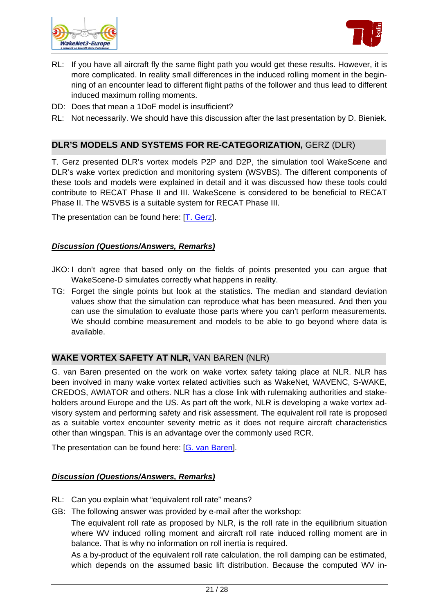



- RL: If you have all aircraft fly the same flight path you would get these results. However, it is more complicated. In reality small differences in the induced rolling moment in the beginning of an encounter lead to different flight paths of the follower and thus lead to different induced maximum rolling moments.
- DD: Does that mean a 1DoF model is insufficient?
- RL: Not necessarily. We should have this discussion after the last presentation by D. Bieniek.

# **DLR'S MODELS AND SYSTEMS FOR RE-CATEGORIZATION,** GERZ (DLR)

T. Gerz presented DLR's vortex models P2P and D2P, the simulation tool WakeScene and DLR's wake vortex prediction and monitoring system (WSVBS). The different components of these tools and models were explained in detail and it was discussed how these tools could contribute to RECAT Phase II and III. WakeScene is considered to be beneficial to RECAT Phase II. The WSVBS is a suitable system for RECAT Phase III.

The presentation can be found here: [\[T. Gerz](http://www.wakenet.eu/fileadmin/user_upload/SpecificWorkshop_RECAT/DLR_110621_P2P-WakeScene_final.pdf)].

#### *Discussion (Questions/Answers, Remarks)*

- JKO: I don't agree that based only on the fields of points presented you can argue that WakeScene-D simulates correctly what happens in reality.
- TG: Forget the single points but look at the statistics. The median and standard deviation values show that the simulation can reproduce what has been measured. And then you can use the simulation to evaluate those parts where you can't perform measurements. We should combine measurement and models to be able to go beyond where data is available.

#### **WAKE VORTEX SAFETY AT NLR,** VAN BAREN (NLR)

G. van Baren presented on the work on wake vortex safety taking place at NLR. NLR has been involved in many wake vortex related activities such as WakeNet, WAVENC, S-WAKE, CREDOS, AWIATOR and others. NLR has a close link with rulemaking authorities and stakeholders around Europe and the US. As part oft the work, NLR is developing a wake vortex advisory system and performing safety and risk assessment. The equivalent roll rate is proposed as a suitable vortex encounter severity metric as it does not require aircraft characteristics other than wingspan. This is an advantage over the commonly used RCR.

The presentation can be found here: [\[G. van Baren](http://www.wakenet.eu/fileadmin/user_upload/SpecificWorkshop_RECAT/NLR_Wakenet-presentation-VanBaren-v20110621.pdf)].

#### *Discussion (Questions/Answers, Remarks)*

- RL: Can you explain what "equivalent roll rate" means?
- GB: The following answer was provided by e-mail after the workshop:

 The equivalent roll rate as proposed by NLR, is the roll rate in the equilibrium situation where WV induced rolling moment and aircraft roll rate induced rolling moment are in balance. That is why no information on roll inertia is required.

 As a by-product of the equivalent roll rate calculation, the roll damping can be estimated, which depends on the assumed basic lift distribution. Because the computed WV in-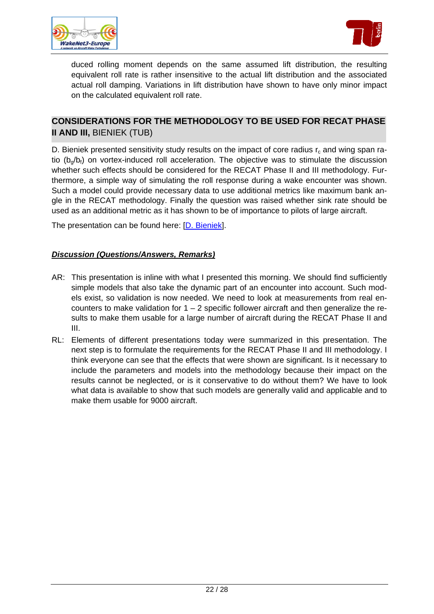



duced rolling moment depends on the same assumed lift distribution, the resulting equivalent roll rate is rather insensitive to the actual lift distribution and the associated actual roll damping. Variations in lift distribution have shown to have only minor impact on the calculated equivalent roll rate.

# **CONSIDERATIONS FOR THE METHODOLOGY TO BE USED FOR RECAT PHASE II AND III,** BIENIEK (TUB)

D. Bieniek presented sensitivity study results on the impact of core radius  $r_c$  and wing span ratio  $(b_{q}/b_{f})$  on vortex-induced roll acceleration. The objective was to stimulate the discussion whether such effects should be considered for the RECAT Phase II and III methodology. Furthermore, a simple way of simulating the roll response during a wake encounter was shown. Such a model could provide necessary data to use additional metrics like maximum bank angle in the RECAT methodology. Finally the question was raised whether sink rate should be used as an additional metric as it has shown to be of importance to pilots of large aircraft.

The presentation can be found here: [\[D. Bieniek](http://www.wakenet.eu/fileadmin/user_upload/SpecificWorkshop_RECAT/TUB_Bieniek_ReCat_Phase_2_and_3_Models_and_Methods_v1_Handout.pdf)].

- AR: This presentation is inline with what I presented this morning. We should find sufficiently simple models that also take the dynamic part of an encounter into account. Such models exist, so validation is now needed. We need to look at measurements from real encounters to make validation for  $1 - 2$  specific follower aircraft and then generalize the results to make them usable for a large number of aircraft during the RECAT Phase II and III.
- RL: Elements of different presentations today were summarized in this presentation. The next step is to formulate the requirements for the RECAT Phase II and III methodology. I think everyone can see that the effects that were shown are significant. Is it necessary to include the parameters and models into the methodology because their impact on the results cannot be neglected, or is it conservative to do without them? We have to look what data is available to show that such models are generally valid and applicable and to make them usable for 9000 aircraft.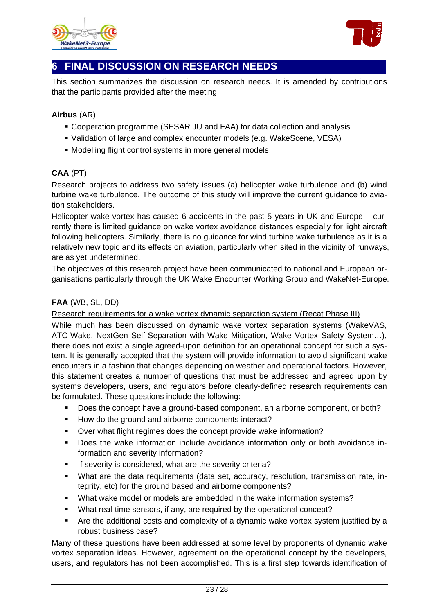



# **6 FINAL DISCUSSION ON RESEARCH NEEDS**

This section summarizes the discussion on research needs. It is amended by contributions that the participants provided after the meeting.

# **Airbus** (AR)

- Cooperation programme (SESAR JU and FAA) for data collection and analysis
- Validation of large and complex encounter models (e.g. WakeScene, VESA)
- Modelling flight control systems in more general models

# **CAA** (PT)

Research projects to address two safety issues (a) helicopter wake turbulence and (b) wind turbine wake turbulence. The outcome of this study will improve the current guidance to aviation stakeholders.

Helicopter wake vortex has caused 6 accidents in the past 5 years in UK and Europe – currently there is limited guidance on wake vortex avoidance distances especially for light aircraft following helicopters. Similarly, there is no guidance for wind turbine wake turbulence as it is a relatively new topic and its effects on aviation, particularly when sited in the vicinity of runways, are as yet undetermined.

The objectives of this research project have been communicated to national and European organisations particularly through the UK Wake Encounter Working Group and WakeNet-Europe.

# **FAA** (WB, SL, DD)

Research requirements for a wake vortex dynamic separation system (Recat Phase III)

While much has been discussed on dynamic wake vortex separation systems (WakeVAS, ATC-Wake, NextGen Self-Separation with Wake Mitigation, Wake Vortex Safety System…), there does not exist a single agreed-upon definition for an operational concept for such a system. It is generally accepted that the system will provide information to avoid significant wake encounters in a fashion that changes depending on weather and operational factors. However, this statement creates a number of questions that must be addressed and agreed upon by systems developers, users, and regulators before clearly-defined research requirements can be formulated. These questions include the following:

- Does the concept have a ground-based component, an airborne component, or both?
- How do the ground and airborne components interact?
- Over what flight regimes does the concept provide wake information?
- Does the wake information include avoidance information only or both avoidance information and severity information?
- **If severity is considered, what are the severity criteria?**
- What are the data requirements (data set, accuracy, resolution, transmission rate, integrity, etc) for the ground based and airborne components?
- What wake model or models are embedded in the wake information systems?
- What real-time sensors, if any, are required by the operational concept?
- Are the additional costs and complexity of a dynamic wake vortex system justified by a robust business case?

Many of these questions have been addressed at some level by proponents of dynamic wake vortex separation ideas. However, agreement on the operational concept by the developers, users, and regulators has not been accomplished. This is a first step towards identification of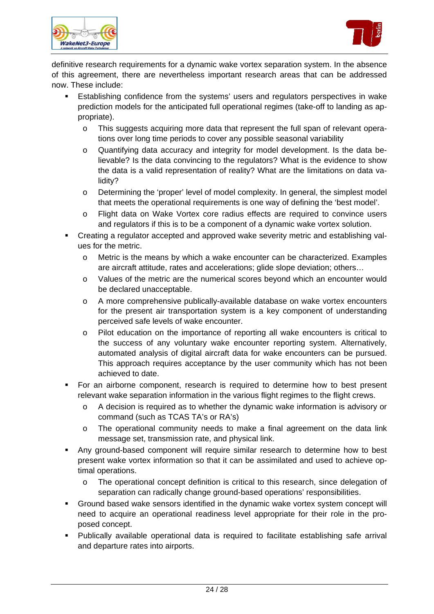



definitive research requirements for a dynamic wake vortex separation system. In the absence of this agreement, there are nevertheless important research areas that can be addressed now. These include:

- Establishing confidence from the systems' users and regulators perspectives in wake prediction models for the anticipated full operational regimes (take-off to landing as appropriate).
	- $\circ$  This suggests acquiring more data that represent the full span of relevant operations over long time periods to cover any possible seasonal variability
	- o Quantifying data accuracy and integrity for model development. Is the data believable? Is the data convincing to the regulators? What is the evidence to show the data is a valid representation of reality? What are the limitations on data validity?
	- o Determining the 'proper' level of model complexity. In general, the simplest model that meets the operational requirements is one way of defining the 'best model'.
	- o Flight data on Wake Vortex core radius effects are required to convince users and regulators if this is to be a component of a dynamic wake vortex solution.
- Creating a regulator accepted and approved wake severity metric and establishing values for the metric.
	- $\circ$  Metric is the means by which a wake encounter can be characterized. Examples are aircraft attitude, rates and accelerations; glide slope deviation; others…
	- o Values of the metric are the numerical scores beyond which an encounter would be declared unacceptable.
	- o A more comprehensive publically-available database on wake vortex encounters for the present air transportation system is a key component of understanding perceived safe levels of wake encounter.
	- o Pilot education on the importance of reporting all wake encounters is critical to the success of any voluntary wake encounter reporting system. Alternatively, automated analysis of digital aircraft data for wake encounters can be pursued. This approach requires acceptance by the user community which has not been achieved to date.
- For an airborne component, research is required to determine how to best present relevant wake separation information in the various flight regimes to the flight crews.
	- o A decision is required as to whether the dynamic wake information is advisory or command (such as TCAS TA's or RA's)
	- $\circ$  The operational community needs to make a final agreement on the data link message set, transmission rate, and physical link.
- Any ground-based component will require similar research to determine how to best present wake vortex information so that it can be assimilated and used to achieve optimal operations.
	- o The operational concept definition is critical to this research, since delegation of separation can radically change ground-based operations' responsibilities.
- Ground based wake sensors identified in the dynamic wake vortex system concept will need to acquire an operational readiness level appropriate for their role in the proposed concept.
- Publically available operational data is required to facilitate establishing safe arrival and departure rates into airports.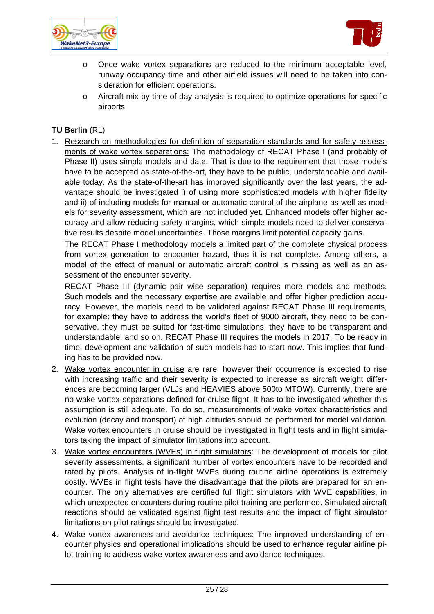



- o Once wake vortex separations are reduced to the minimum acceptable level, runway occupancy time and other airfield issues will need to be taken into consideration for efficient operations.
- o Aircraft mix by time of day analysis is required to optimize operations for specific airports.

# **TU Berlin** (RL)

1. Research on methodologies for definition of separation standards and for safety assessments of wake vortex separations: The methodology of RECAT Phase I (and probably of Phase II) uses simple models and data. That is due to the requirement that those models have to be accepted as state-of-the-art, they have to be public, understandable and available today. As the state-of-the-art has improved significantly over the last years, the advantage should be investigated i) of using more sophisticated models with higher fidelity and ii) of including models for manual or automatic control of the airplane as well as models for severity assessment, which are not included yet. Enhanced models offer higher accuracy and allow reducing safety margins, which simple models need to deliver conservative results despite model uncertainties. Those margins limit potential capacity gains.

The RECAT Phase I methodology models a limited part of the complete physical process from vortex generation to encounter hazard, thus it is not complete. Among others, a model of the effect of manual or automatic aircraft control is missing as well as an assessment of the encounter severity.

RECAT Phase III (dynamic pair wise separation) requires more models and methods. Such models and the necessary expertise are available and offer higher prediction accuracy. However, the models need to be validated against RECAT Phase III requirements, for example: they have to address the world's fleet of 9000 aircraft, they need to be conservative, they must be suited for fast-time simulations, they have to be transparent and understandable, and so on. RECAT Phase III requires the models in 2017. To be ready in time, development and validation of such models has to start now. This implies that funding has to be provided now.

- 2. Wake vortex encounter in cruise are rare, however their occurrence is expected to rise with increasing traffic and their severity is expected to increase as aircraft weight differences are becoming larger (VLJs and HEAVIES above 500to MTOW). Currently, there are no wake vortex separations defined for cruise flight. It has to be investigated whether this assumption is still adequate. To do so, measurements of wake vortex characteristics and evolution (decay and transport) at high altitudes should be performed for model validation. Wake vortex encounters in cruise should be investigated in flight tests and in flight simulators taking the impact of simulator limitations into account.
- 3. Wake vortex encounters (WVEs) in flight simulators: The development of models for pilot severity assessments, a significant number of vortex encounters have to be recorded and rated by pilots. Analysis of in-flight WVEs during routine airline operations is extremely costly. WVEs in flight tests have the disadvantage that the pilots are prepared for an encounter. The only alternatives are certified full flight simulators with WVE capabilities, in which unexpected encounters during routine pilot training are performed. Simulated aircraft reactions should be validated against flight test results and the impact of flight simulator limitations on pilot ratings should be investigated.
- 4. Wake vortex awareness and avoidance techniques: The improved understanding of encounter physics and operational implications should be used to enhance regular airline pilot training to address wake vortex awareness and avoidance techniques.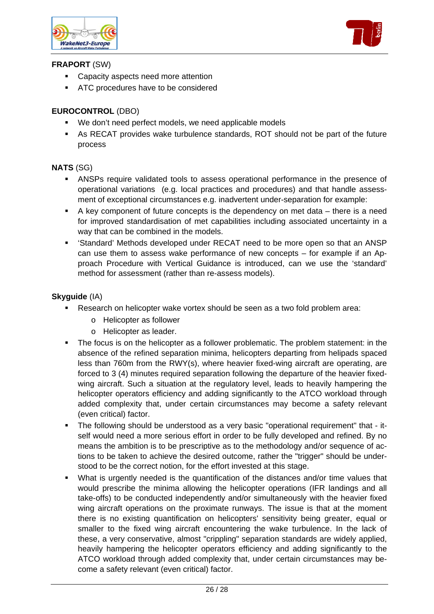



# **FRAPORT** (SW)

- Capacity aspects need more attention
- **ATC** procedures have to be considered

# **EUROCONTROL** (DBO)

- We don't need perfect models, we need applicable models
- As RECAT provides wake turbulence standards, ROT should not be part of the future process

# **NATS** (SG)

- ANSPs require validated tools to assess operational performance in the presence of operational variations (e.g. local practices and procedures) and that handle assessment of exceptional circumstances e.g. inadvertent under-separation for example:
- A key component of future concepts is the dependency on met data there is a need for improved standardisation of met capabilities including associated uncertainty in a way that can be combined in the models.
- 'Standard' Methods developed under RECAT need to be more open so that an ANSP can use them to assess wake performance of new concepts – for example if an Approach Procedure with Vertical Guidance is introduced, can we use the 'standard' method for assessment (rather than re-assess models).

# **Skyguide** (IA)

- Research on helicopter wake vortex should be seen as a two fold problem area:
	- o Helicopter as follower
	- o Helicopter as leader.
- The focus is on the helicopter as a follower problematic. The problem statement: in the absence of the refined separation minima, helicopters departing from helipads spaced less than 760m from the RWY(s), where heavier fixed-wing aircraft are operating, are forced to 3 (4) minutes required separation following the departure of the heavier fixedwing aircraft. Such a situation at the regulatory level, leads to heavily hampering the helicopter operators efficiency and adding significantly to the ATCO workload through added complexity that, under certain circumstances may become a safety relevant (even critical) factor.
- The following should be understood as a very basic "operational requirement" that itself would need a more serious effort in order to be fully developed and refined. By no means the ambition is to be prescriptive as to the methodology and/or sequence of actions to be taken to achieve the desired outcome, rather the "trigger" should be understood to be the correct notion, for the effort invested at this stage.
- What is urgently needed is the quantification of the distances and/or time values that would prescribe the minima allowing the helicopter operations (IFR landings and all take-offs) to be conducted independently and/or simultaneously with the heavier fixed wing aircraft operations on the proximate runways. The issue is that at the moment there is no existing quantification on helicopters' sensitivity being greater, equal or smaller to the fixed wing aircraft encountering the wake turbulence. In the lack of these, a very conservative, almost "crippling" separation standards are widely applied, heavily hampering the helicopter operators efficiency and adding significantly to the ATCO workload through added complexity that, under certain circumstances may become a safety relevant (even critical) factor.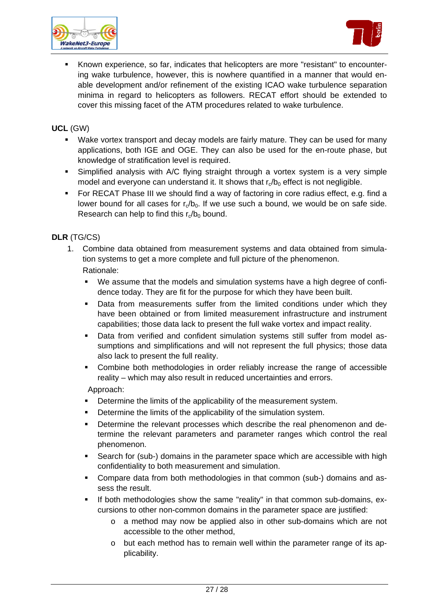



 Known experience, so far, indicates that helicopters are more "resistant" to encountering wake turbulence, however, this is nowhere quantified in a manner that would enable development and/or refinement of the existing ICAO wake turbulence separation minima in regard to helicopters as followers. RECAT effort should be extended to cover this missing facet of the ATM procedures related to wake turbulence.

# **UCL** (GW)

- Wake vortex transport and decay models are fairly mature. They can be used for many applications, both IGE and OGE. They can also be used for the en-route phase, but knowledge of stratification level is required.
- Simplified analysis with A/C flying straight through a vortex system is a very simple model and everyone can understand it. It shows that  $r_a/b_0$  effect is not negligible.
- For RECAT Phase III we should find a way of factoring in core radius effect, e.g. find a lower bound for all cases for  $r_a/b_0$ . If we use such a bound, we would be on safe side. Research can help to find this  $r_c/b_0$  bound.

# **DLR** (TG/CS)

- 1. Combine data obtained from measurement systems and data obtained from simulation systems to get a more complete and full picture of the phenomenon. Rationale:
	- We assume that the models and simulation systems have a high degree of confidence today. They are fit for the purpose for which they have been built.
	- Data from measurements suffer from the limited conditions under which they have been obtained or from limited measurement infrastructure and instrument capabilities; those data lack to present the full wake vortex and impact reality.
	- Data from verified and confident simulation systems still suffer from model assumptions and simplifications and will not represent the full physics; those data also lack to present the full reality.
	- Combine both methodologies in order reliably increase the range of accessible reality – which may also result in reduced uncertainties and errors.

Approach:

- Determine the limits of the applicability of the measurement system.
- Determine the limits of the applicability of the simulation system.
- Determine the relevant processes which describe the real phenomenon and determine the relevant parameters and parameter ranges which control the real phenomenon.
- Search for (sub-) domains in the parameter space which are accessible with high confidentiality to both measurement and simulation.
- Compare data from both methodologies in that common (sub-) domains and assess the result.
- If both methodologies show the same "reality" in that common sub-domains, excursions to other non-common domains in the parameter space are justified:
	- o a method may now be applied also in other sub-domains which are not accessible to the other method,
	- $\circ$  but each method has to remain well within the parameter range of its applicability.